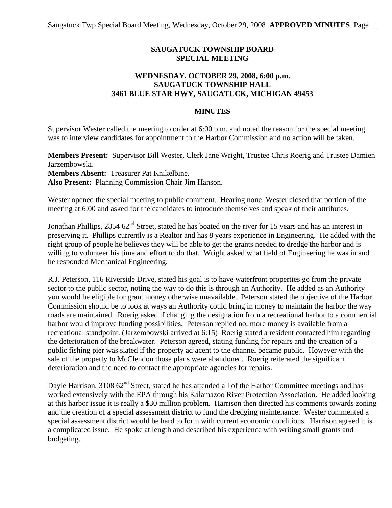## **SAUGATUCK TOWNSHIP BOARD SPECIAL MEETING**

## **WEDNESDAY, OCTOBER 29, 2008, 6:00 p.m. SAUGATUCK TOWNSHIP HALL 3461 BLUE STAR HWY, SAUGATUCK, MICHIGAN 49453**

## **MINUTES**

Supervisor Wester called the meeting to order at 6:00 p.m. and noted the reason for the special meeting was to interview candidates for appointment to the Harbor Commission and no action will be taken.

**Members Present:** Supervisor Bill Wester, Clerk Jane Wright, Trustee Chris Roerig and Trustee Damien Jarzembowski. **Members Absent:** Treasurer Pat Knikelbine. **Also Present:** Planning Commission Chair Jim Hanson.

Wester opened the special meeting to public comment. Hearing none, Wester closed that portion of the meeting at 6:00 and asked for the candidates to introduce themselves and speak of their attributes.

Jonathan Phillips,  $2854.62<sup>nd</sup>$  Street, stated he has boated on the river for 15 years and has an interest in preserving it. Phillips currently is a Realtor and has 8 years experience in Engineering. He added with the right group of people he believes they will be able to get the grants needed to dredge the harbor and is willing to volunteer his time and effort to do that. Wright asked what field of Engineering he was in and he responded Mechanical Engineering.

R.J. Peterson, 116 Riverside Drive, stated his goal is to have waterfront properties go from the private sector to the public sector, noting the way to do this is through an Authority. He added as an Authority you would be eligible for grant money otherwise unavailable. Peterson stated the objective of the Harbor Commission should be to look at ways an Authority could bring in money to maintain the harbor the way roads are maintained. Roerig asked if changing the designation from a recreational harbor to a commercial harbor would improve funding possibilities. Peterson replied no, more money is available from a recreational standpoint. (Jarzembowski arrived at 6:15) Roerig stated a resident contacted him regarding the deterioration of the breakwater. Peterson agreed, stating funding for repairs and the creation of a public fishing pier was slated if the property adjacent to the channel became public. However with the sale of the property to McClendon those plans were abandoned. Roerig reiterated the significant deterioration and the need to contact the appropriate agencies for repairs.

Dayle Harrison,  $3108.62<sup>nd</sup>$  Street, stated he has attended all of the Harbor Committee meetings and has worked extensively with the EPA through his Kalamazoo River Protection Association. He added looking at this harbor issue it is really a \$30 million problem. Harrison then directed his comments towards zoning and the creation of a special assessment district to fund the dredging maintenance. Wester commented a special assessment district would be hard to form with current economic conditions. Harrison agreed it is a complicated issue. He spoke at length and described his experience with writing small grants and budgeting.